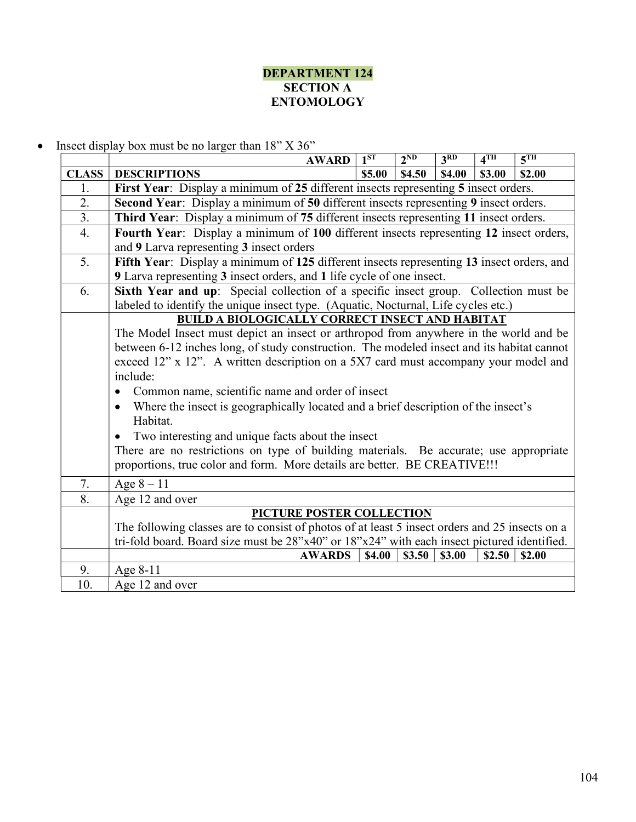## DEPARTMENT 124 **SECTION A** ENTOMOLOGY

• Insect display box must be no larger than  $18"$  X  $36"$ 

|                  | <b>AWARD</b>                                                                                                                                                                        | $1^{ST}$                                       | 2 <sup>ND</sup> | 3 <sub>RD</sub> | 4 <sup>TH</sup> | 5 <sup>TH</sup> |  |  |
|------------------|-------------------------------------------------------------------------------------------------------------------------------------------------------------------------------------|------------------------------------------------|-----------------|-----------------|-----------------|-----------------|--|--|
| <b>CLASS</b>     | <b>DESCRIPTIONS</b>                                                                                                                                                                 | \$5.00                                         | \$4.50          | \$4.00          | \$3.00          | \$2.00          |  |  |
| 1.               | First Year: Display a minimum of 25 different insects representing 5 insect orders.                                                                                                 |                                                |                 |                 |                 |                 |  |  |
| $\overline{2}$ . | Second Year: Display a minimum of 50 different insects representing 9 insect orders.                                                                                                |                                                |                 |                 |                 |                 |  |  |
| $\overline{3}$ . | Third Year: Display a minimum of 75 different insects representing 11 insect orders.                                                                                                |                                                |                 |                 |                 |                 |  |  |
| 4.               | Fourth Year: Display a minimum of 100 different insects representing 12 insect orders,                                                                                              |                                                |                 |                 |                 |                 |  |  |
|                  | and 9 Larva representing 3 insect orders                                                                                                                                            |                                                |                 |                 |                 |                 |  |  |
| 5.               | Fifth Year: Display a minimum of 125 different insects representing 13 insect orders, and                                                                                           |                                                |                 |                 |                 |                 |  |  |
|                  | 9 Larva representing 3 insect orders, and 1 life cycle of one insect.                                                                                                               |                                                |                 |                 |                 |                 |  |  |
| 6.               | Sixth Year and up: Special collection of a specific insect group. Collection must be                                                                                                |                                                |                 |                 |                 |                 |  |  |
|                  | labeled to identify the unique insect type. (Aquatic, Nocturnal, Life cycles etc.)                                                                                                  |                                                |                 |                 |                 |                 |  |  |
|                  | <b>BUILD A BIOLOGICALLY CORRECT INSECT AND HABITAT</b>                                                                                                                              |                                                |                 |                 |                 |                 |  |  |
|                  | The Model Insect must depict an insect or arthropod from anywhere in the world and be<br>between 6-12 inches long, of study construction. The modeled insect and its habitat cannot |                                                |                 |                 |                 |                 |  |  |
|                  |                                                                                                                                                                                     |                                                |                 |                 |                 |                 |  |  |
|                  | exceed 12" x 12". A written description on a 5X7 card must accompany your model and                                                                                                 |                                                |                 |                 |                 |                 |  |  |
|                  | include:<br>Common name, scientific name and order of insect<br>$\bullet$                                                                                                           |                                                |                 |                 |                 |                 |  |  |
|                  |                                                                                                                                                                                     |                                                |                 |                 |                 |                 |  |  |
|                  | Where the insect is geographically located and a brief description of the insect's<br>$\bullet$                                                                                     |                                                |                 |                 |                 |                 |  |  |
|                  | Habitat.                                                                                                                                                                            |                                                |                 |                 |                 |                 |  |  |
|                  | Two interesting and unique facts about the insect<br>There are no restrictions on type of building materials. Be accurate; use appropriate                                          |                                                |                 |                 |                 |                 |  |  |
|                  |                                                                                                                                                                                     |                                                |                 |                 |                 |                 |  |  |
|                  | proportions, true color and form. More details are better. BE CREATIVE!!!                                                                                                           |                                                |                 |                 |                 |                 |  |  |
| 7.               | Age $8 - 11$                                                                                                                                                                        |                                                |                 |                 |                 |                 |  |  |
| 8.               | Age 12 and over                                                                                                                                                                     |                                                |                 |                 |                 |                 |  |  |
|                  | PICTURE POSTER COLLECTION                                                                                                                                                           |                                                |                 |                 |                 |                 |  |  |
|                  | The following classes are to consist of photos of at least 5 insect orders and 25 insects on a                                                                                      |                                                |                 |                 |                 |                 |  |  |
|                  | tri-fold board. Board size must be 28"x40" or 18"x24" with each insect pictured identified.                                                                                         |                                                |                 |                 |                 |                 |  |  |
|                  | <b>AWARDS</b>                                                                                                                                                                       | \$4.00<br>\$3.00<br>\$2.50<br>\$2.00<br>\$3.50 |                 |                 |                 |                 |  |  |
| 9.               | Age 8-11                                                                                                                                                                            |                                                |                 |                 |                 |                 |  |  |
| 10.              | Age 12 and over                                                                                                                                                                     |                                                |                 |                 |                 |                 |  |  |